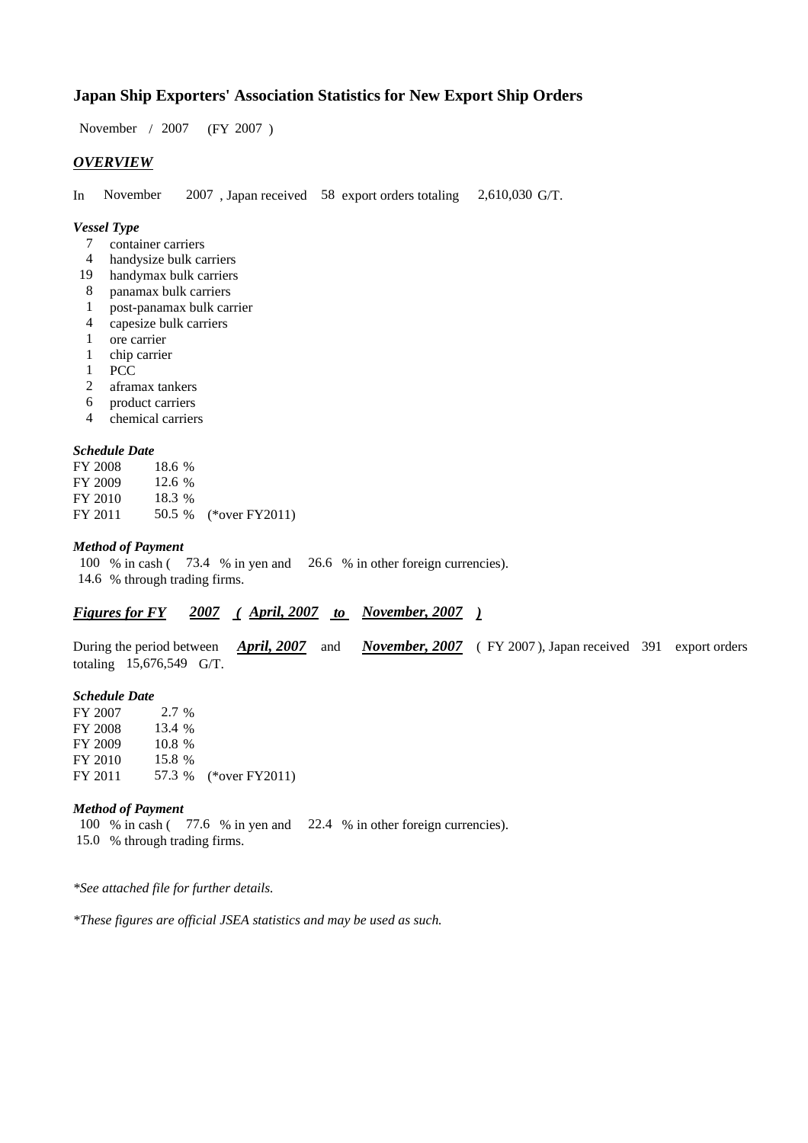# **Japan Ship Exporters' Association Statistics for New Export Ship Orders**

 $/ 2007$  (FY 2007) November / 2007

## *OVERVIEW*

In November  $2007$ , Japan received 58 export orders totaling  $2,610,030$  G/T. November 2,610,030 G/T.

#### *Vessel Type*

- container carriers 7
- handysize bulk carriers 4
- handymax bulk carriers 19
- panamax bulk carriers 8
- post-panamax bulk carrier 1
- capesize bulk carriers 4
- ore carrier 1
- chip carrier 1
- PCC 1
- aframax tankers 2
- product carriers 6
- chemical carriers 4

## *Schedule Date*

| FY 2008 | 18.6 % |                       |
|---------|--------|-----------------------|
| FY 2009 | 12.6 % |                       |
| FY 2010 | 18.3 % |                       |
| FY 2011 |        | 50.5 % (*over FY2011) |

#### *Method of Payment*

100 % in cash (73.4 % in yen and 26.6 % in other foreign currencies). % through trading firms. 14.6

## *Figures for FY* 2007 (April, 2007 to November, 2007)

During the period between *April, 2007* and *November, 2007* (FY 2007), Japan received 391 export orders totaling 15,676,549 G/T. *April, 2007* and

#### *Schedule Date*

FY 2007 FY 2008 FY 2009 FY 2010 FY 2011 57.3 % (\*over FY2011) 15.8 57.3 13.4 % 10.8 2.7 %

# *Method of Payment*

100 % in cash (77.6 % in yen and 22.4 % in other foreign currencies). % through trading firms. 15.0

*\*See attached file for further details.*

*\*These figures are official JSEA statistics and may be used as such.*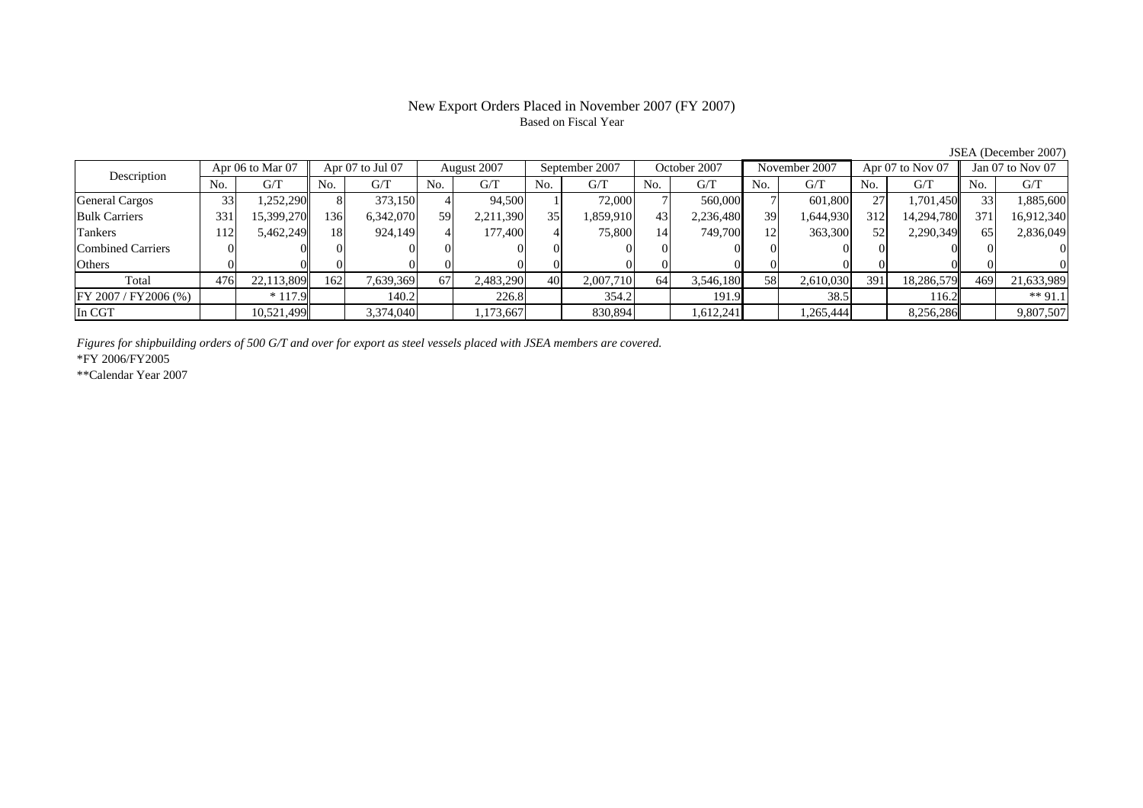## New Export Orders Placed in November 2007 (FY 2007) Based on Fiscal Year

No. G/T No. G/T No. G/T No. G/T No. G/T No. G/T No. G/T No. G/TGeneral Cargos 33 1,252,290 8 373,150 4 94,500 1 72,000 7 560,000 7 601,800 27 1,701,450 33 1,885,600 Bulk Carriers | 331| 15,399,270| 136| 6,342,070| 59| 2,211,390| 35| 1,859,910| 43| 2,236,480| 39| 1,644,930| 312| 14,294,780|| 371| 16,912,340 Tankers | 112| 5,462,249|| 18| 924,149| 4| 177,400| 4| 75,800| 14| 749,700| 12| 363,300| 52| 2,290,349|| 65| 2,836,049 Combined Carriers 0 0 0 0 0 0 0 0 0 0 0 0 0 0 0 0Others 0 0 0 0 0 0 0 0 0 0 0 0 0 0 0 0 $\mathbf{0}$ Total 476 22,113,809 162 7,639,369 67 2,483,290 40 2,007,710 64 3,546,180 58 2,610,030 391 18,286,579 469 21,633,989 FY 2007 / FY2006 (%) \* 117.9 140.2 226.8 354.2 191.9 38.5 116.2 \*\* 91.1 In CGT | | 10,521,499| | 3,374,040| | 1,173,667| | 830,894| | 1,612,241| | 1,265,444| | 8,256,286|| | 9,807,507 August 2007 September 2007 Description Apr 06 to Mar 07 Apr 07 to Jul 07 August 2007 September 2007 October 2007 November 2007 Apr 07 to Nov 07 Jan 07 to Nov 07

*Figures for shipbuilding orders of 500 G/T and over for export as steel vessels placed with JSEA members are covered.*

\*FY 2006/FY2005

\*\*Calendar Year 2007

JSEA (December 2007)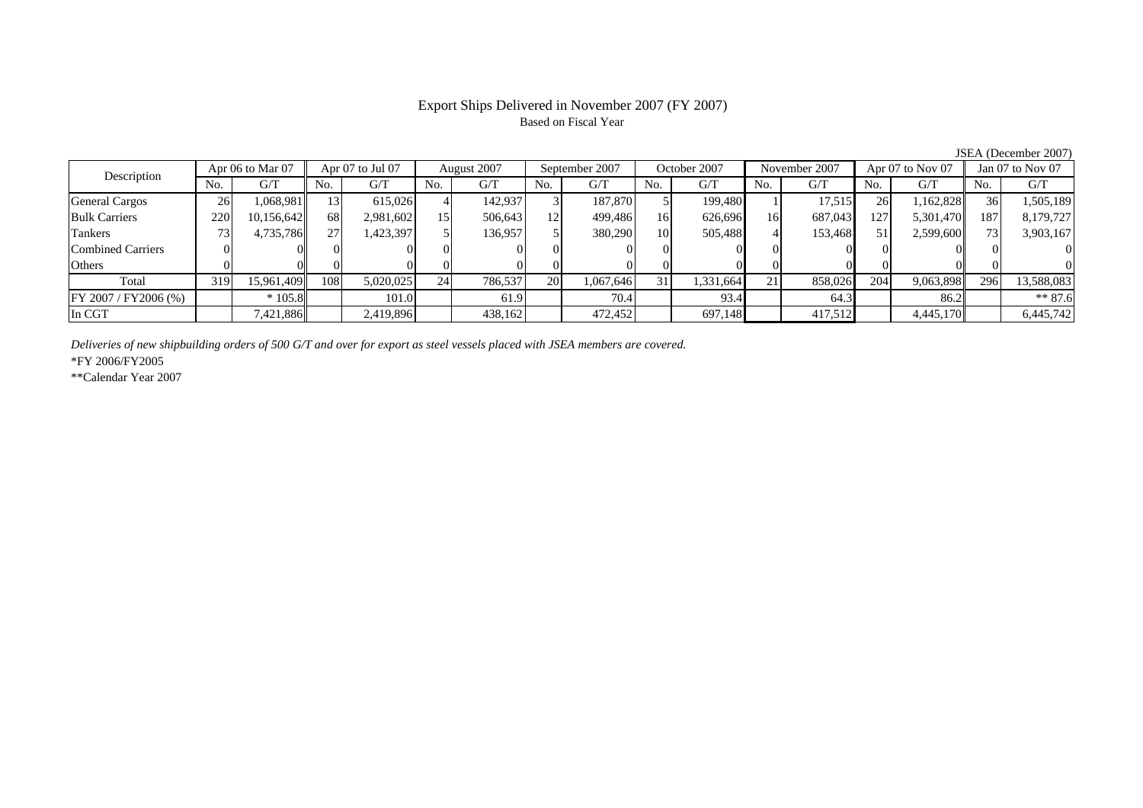# Export Ships Delivered in November 2007 (FY 2007) Based on Fiscal Year

JSEA (December 2007)

| Apr 06 to Mar 07<br>Description |           | Apr 07 to Jul 07 |                 | August 2007 |                 | September 2007 |     | October 2007 |     | November 2007 |     | Apr $07$ to Nov $07$ |     | Jan $07$ to Nov $07$ |            |            |
|---------------------------------|-----------|------------------|-----------------|-------------|-----------------|----------------|-----|--------------|-----|---------------|-----|----------------------|-----|----------------------|------------|------------|
|                                 | No.       | G/T              | No.             | G/T         | No.             | G/T            | No. | G/T          | No. | G/T           | No. | G/T                  | No. | G/T                  | No.        | G/T        |
| <b>General Cargos</b>           | <b>26</b> | 1,068,981        | $\vert 3 \vert$ | 615,026     |                 | 142.937        |     | 187,870      |     | 199,480       |     | 17,515               | 26  | 1,162,828            | 36         | 1,505,189  |
| <b>Bulk Carriers</b>            | 220       | 10,156,642       | 68              | 2,981,602   | 15              | 506,643        | 12  | 499,486      | 16  | 626,696       | 16  | 687,043              | 127 | 5,301,470            | 187        | 8,179,727  |
| Tankers                         |           | 4,735,786        | 27              | 1,423,397   |                 | 136,957        |     | 380,290      | 10  | 505,488       |     | 153,468              | 51  | 2,599,600            | <b>731</b> | 3,903,167  |
| Combined Carriers               |           |                  |                 |             |                 |                |     |              |     |               |     |                      |     |                      |            |            |
| Others                          |           |                  |                 |             |                 |                |     |              |     |               |     |                      |     |                      |            |            |
| Total                           | 319       | 15,961,409       | 108             | 5,020,025   | 24 <sub>1</sub> | 786,537        | 20  | 1,067,646    | 31  | 1,331,664     | 21  | 858,026              | 204 | 9,063,898            | 296        | 13,588,083 |
| FY 2007 / FY2006 (%)            |           | $*105.8$         |                 | 101.0       |                 | 61.9           |     | 70.4         |     | 93.4          |     | 64.3                 |     | 86.2                 |            | $**87.6$   |
| In CGT                          |           | 7,421,886        |                 | 2,419,896   |                 | 438,162        |     | 472,452      |     | 697,148       |     | 417,512              |     | 4,445,170            |            | 6,445,742  |

*Deliveries of new shipbuilding orders of 500 G/T and over for export as steel vessels placed with JSEA members are covered.*

\*FY 2006/FY2005

\*\*Calendar Year 2007